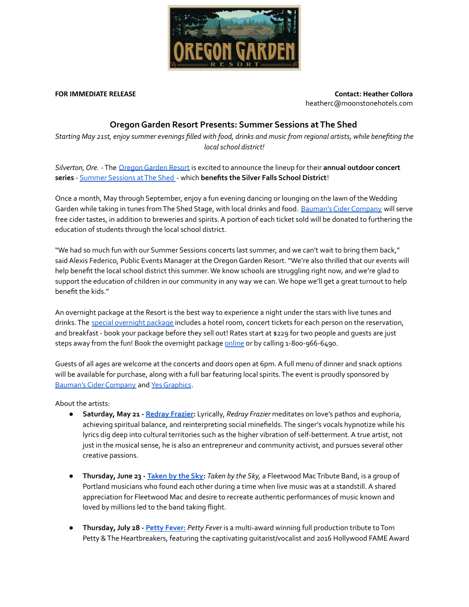

**FOR IMMEDIATE RELEASE Contact: Heather Collora** heatherc@moonstonehotels.com

## **Oregon Garden Resort Presents: Summer Sessions at The Shed**

Starting May 21st, enjoy summer evenings filled with food, drinks and music from regional artists, while benefiting the *local school district!*

*Silverton,Ore.* -The [OregonGarden](https://www.oregongardenresort.com/) Resort is excited to announce the lineup for their **annual outdoor concert series** - [Summer](https://www.oregongardenresort.com/events/onsite) Sessions atThe Shed - which **benefits the Silver Falls School District**!

Once a month, May through September, enjoy a fun evening dancing or lounging on the lawn of the Wedding Garden while taking in tunes from The Shed Stage, with local drinks and food. [Bauman's](https://baumanscider.com/) Cider Company will serve free cider tastes, in addition to breweries and spirits. A portion of each ticket sold will be donated to furthering the education of students through the local school district.

"We had so much fun with our Summer Sessions concerts last summer, and we can't wait to bring them back," said Alexis Federico, Public Events Manager at the Oregon Garden Resort. "We're also thrilled that our events will help benefit the local school district this summer. We know schools are struggling right now, and we're glad to support the education of children in our community in any way we can.We hope we'll get a great turnout to help benefit the kids."

An overnight package at the Resort is the best way to experience a night under the stars with live tunes and drinks. The special [overnight](https://www.oregongardenresort.com/specials/summer-concert) package includes a hotel room, concert tickets for each person on the reservation, and breakfast - book your package before they sell out! Rates start at \$229 for two people and guests are just steps away from the fun! Book the overnight package [online](https://www.oregongardenresort.com/specials/summer-concert) or by calling 1-800-966-6490.

Guests of all ages are welcome at the concerts and doors open at 6pm.A full menu of dinner and snack options will be available for purchase, along with a full bar featuring local spirits.The event is proudly sponsored by [Bauman's](https://baumanscider.com/) Cider Company and Yes Graphics.

About the artists:

- **● Saturday, May 21 - [Redray](https://www.redrayfrazier.com/) Frazier:** Lyrically, *Redray Frazier* meditates on love's pathos and euphoria, achieving spiritual balance, and reinterpreting social minefields. The singer's vocals hypnotize while his lyrics dig deep into cultural territories such as the higher vibration of self-betterment. A true artist, not just in the musical sense, he is also an entrepreneur and community activist, and pursues several other creative passions.
- **● Thursday, June 23 - [Taken](https://www.youtube.com/channel/UCWHgqoCgeqKygUPOsOgzy4g/featured) by the Sky:** *Taken by the Sky,* a Fleetwood MacTribute Band, is a group of Portland musicians who found each other during a time when live music was at a standstill. A shared appreciation for Fleetwood Mac and desire to recreate authentic performances of music known and loved by millions led to the band taking flight.
- **● Thursday, July 28 - Petty [Fever:](https://pettyfever.com/)** *Petty Fever* is a multi-award winning full production tribute toTom Petty & The Heartbreakers, featuring the captivating guitarist/vocalist and 2016 Hollywood FAME Award